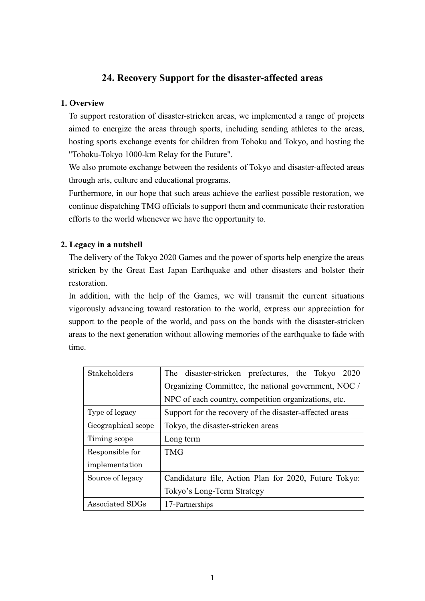# **24. Recovery Support for the disaster-affected areas**

# **1. Overview**

To support restoration of disaster-stricken areas, we implemented a range of projects aimed to energize the areas through sports, including sending athletes to the areas, hosting sports exchange events for children from Tohoku and Tokyo, and hosting the "Tohoku-Tokyo 1000-km Relay for the Future".

We also promote exchange between the residents of Tokyo and disaster-affected areas through arts, culture and educational programs.

Furthermore, in our hope that such areas achieve the earliest possible restoration, we continue dispatching TMG officials to support them and communicate their restoration efforts to the world whenever we have the opportunity to.

# **2. Legacy in a nutshell**

The delivery of the Tokyo 2020 Games and the power of sports help energize the areas stricken by the Great East Japan Earthquake and other disasters and bolster their restoration.

In addition, with the help of the Games, we will transmit the current situations vigorously advancing toward restoration to the world, express our appreciation for support to the people of the world, and pass on the bonds with the disaster-stricken areas to the next generation without allowing memories of the earthquake to fade with time.

| Stakeholders       | The disaster-stricken prefectures, the Tokyo<br>2020    |
|--------------------|---------------------------------------------------------|
|                    | Organizing Committee, the national government, NOC /    |
|                    | NPC of each country, competition organizations, etc.    |
| Type of legacy     | Support for the recovery of the disaster-affected areas |
| Geographical scope | Tokyo, the disaster-stricken areas                      |
| Timing scope       | Long term                                               |
| Responsible for    | <b>TMG</b>                                              |
| implementation     |                                                         |
| Source of legacy   | Candidature file, Action Plan for 2020, Future Tokyo:   |
|                    | Tokyo's Long-Term Strategy                              |
| Associated SDGs    | 17-Partnerships                                         |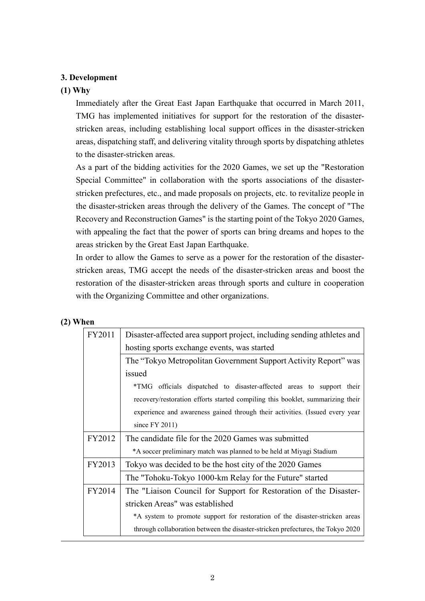# **3. Development**

#### **(1) Why**

Immediately after the Great East Japan Earthquake that occurred in March 2011, TMG has implemented initiatives for support for the restoration of the disasterstricken areas, including establishing local support offices in the disaster-stricken areas, dispatching staff, and delivering vitality through sports by dispatching athletes to the disaster-stricken areas.

As a part of the bidding activities for the 2020 Games, we set up the "Restoration Special Committee" in collaboration with the sports associations of the disasterstricken prefectures, etc., and made proposals on projects, etc. to revitalize people in the disaster-stricken areas through the delivery of the Games. The concept of "The Recovery and Reconstruction Games" is the starting point of the Tokyo 2020 Games, with appealing the fact that the power of sports can bring dreams and hopes to the areas stricken by the Great East Japan Earthquake.

In order to allow the Games to serve as a power for the restoration of the disasterstricken areas, TMG accept the needs of the disaster-stricken areas and boost the restoration of the disaster-stricken areas through sports and culture in cooperation with the Organizing Committee and other organizations.

| FY2011 | Disaster-affected area support project, including sending athletes and          |
|--------|---------------------------------------------------------------------------------|
|        | hosting sports exchange events, was started                                     |
|        | The "Tokyo Metropolitan Government Support Activity Report" was                 |
|        | issued                                                                          |
|        | *TMG officials dispatched to disaster-affected areas to support their           |
|        | recovery/restoration efforts started compiling this booklet, summarizing their  |
|        | experience and awareness gained through their activities. (Issued every year    |
|        | since $FY$ 2011)                                                                |
| FY2012 | The candidate file for the 2020 Games was submitted                             |
|        | *A soccer preliminary match was planned to be held at Miyagi Stadium            |
| FY2013 | Tokyo was decided to be the host city of the 2020 Games                         |
|        | The "Tohoku-Tokyo 1000-km Relay for the Future" started                         |
| FY2014 | The "Liaison Council for Support for Restoration of the Disaster-               |
|        | stricken Areas" was established                                                 |
|        | *A system to promote support for restoration of the disaster-stricken areas     |
|        | through collaboration between the disaster-stricken prefectures, the Tokyo 2020 |

# **(2) When**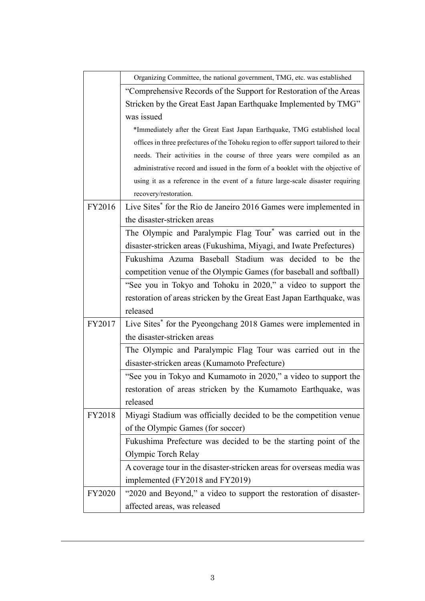|        | Organizing Committee, the national government, TMG, etc. was established             |  |
|--------|--------------------------------------------------------------------------------------|--|
|        | "Comprehensive Records of the Support for Restoration of the Areas                   |  |
|        | Stricken by the Great East Japan Earthquake Implemented by TMG"                      |  |
|        | was issued                                                                           |  |
|        | *Immediately after the Great East Japan Earthquake, TMG established local            |  |
|        | offices in three prefectures of the Tohoku region to offer support tailored to their |  |
|        | needs. Their activities in the course of three years were compiled as an             |  |
|        | administrative record and issued in the form of a booklet with the objective of      |  |
|        | using it as a reference in the event of a future large-scale disaster requiring      |  |
|        | recovery/restoration.                                                                |  |
| FY2016 | Live Sites <sup>*</sup> for the Rio de Janeiro 2016 Games were implemented in        |  |
|        | the disaster-stricken areas                                                          |  |
|        | The Olympic and Paralympic Flag Tour <sup>*</sup> was carried out in the             |  |
|        | disaster-stricken areas (Fukushima, Miyagi, and Iwate Prefectures)                   |  |
|        | Fukushima Azuma Baseball Stadium was decided to be the                               |  |
|        | competition venue of the Olympic Games (for baseball and softball)                   |  |
|        | "See you in Tokyo and Tohoku in 2020," a video to support the                        |  |
|        | restoration of areas stricken by the Great East Japan Earthquake, was                |  |
|        | released                                                                             |  |
| FY2017 | Live Sites* for the Pyeongchang 2018 Games were implemented in                       |  |
|        | the disaster-stricken areas                                                          |  |
|        | The Olympic and Paralympic Flag Tour was carried out in the                          |  |
|        | disaster-stricken areas (Kumamoto Prefecture)                                        |  |
|        | "See you in Tokyo and Kumamoto in 2020," a video to support the                      |  |
|        | restoration of areas stricken by the Kumamoto Earthquake, was                        |  |
|        | released                                                                             |  |
| FY2018 | Miyagi Stadium was officially decided to be the competition venue                    |  |
|        | of the Olympic Games (for soccer)                                                    |  |
|        | Fukushima Prefecture was decided to be the starting point of the                     |  |
|        | Olympic Torch Relay                                                                  |  |
|        | A coverage tour in the disaster-stricken areas for overseas media was                |  |
|        | implemented (FY2018 and FY2019)                                                      |  |
| FY2020 | "2020 and Beyond," a video to support the restoration of disaster-                   |  |
|        | affected areas, was released                                                         |  |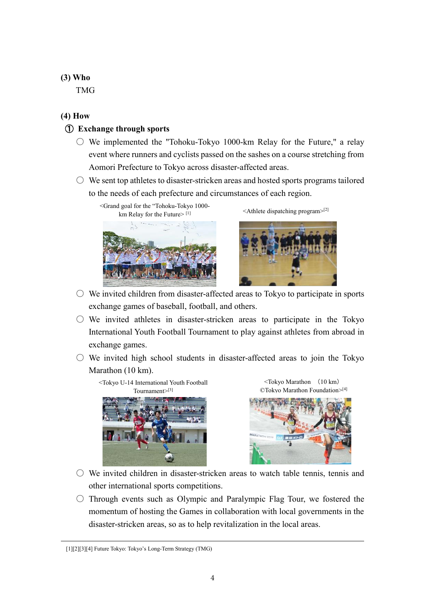# **(3) Who**

TMG

# **(4) How**

# ① **Exchange through sports**

- $\circlearrowright$  We implemented the "Tohoku-Tokyo 1000-km Relay for the Future," a relay event where runners and cyclists passed on the sashes on a course stretching from Aomori Prefecture to Tokyo across disaster-affected areas.
- $\circlearrowright$  We sent top athletes to disaster-stricken areas and hosted sports programs tailored to the needs of each prefecture and circumstances of each region.





 $\leq$ Athlete dispatching program $>$ [2]



- $\circlearrowright$  We invited children from disaster-affected areas to Tokyo to participate in sports exchange games of baseball, football, and others.
- $\circ$  We invited athletes in disaster-stricken areas to participate in the Tokyo International Youth Football Tournament to play against athletes from abroad in exchange games.
- $\circ$  We invited high school students in disaster-affected areas to join the Tokyo Marathon (10 km).







- $\circlearrowright$  We invited children in disaster-stricken areas to watch table tennis, tennis and other international sports competitions.
- $\circ$  Through events such as Olympic and Paralympic Flag Tour, we fostered the momentum of hosting the Games in collaboration with local governments in the disaster-stricken areas, so as to help revitalization in the local areas.

<sup>[1][2][3][4]</sup> Future Tokyo: Tokyo's Long-Term Strategy (TMG)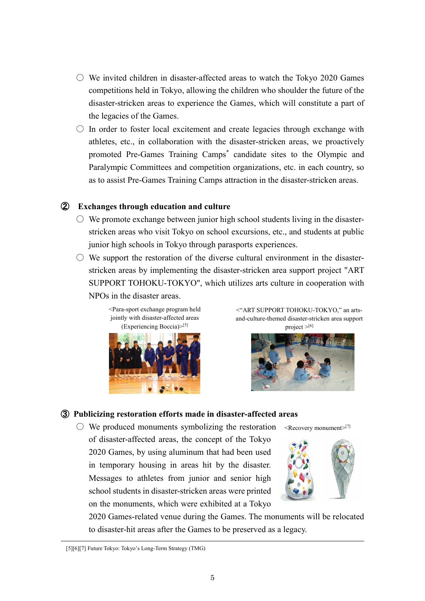- $\circ$  We invited children in disaster-affected areas to watch the Tokyo 2020 Games competitions held in Tokyo, allowing the children who shoulder the future of the disaster-stricken areas to experience the Games, which will constitute a part of the legacies of the Games.
- $\circ$  In order to foster local excitement and create legacies through exchange with athletes, etc., in collaboration with the disaster-stricken areas, we proactively promoted Pre-Games Training Camps\* candidate sites to the Olympic and Paralympic Committees and competition organizations, etc. in each country, so as to assist Pre-Games Training Camps attraction in the disaster-stricken areas.

#### ② **Exchanges through education and culture**

- $\circ$  We promote exchange between junior high school students living in the disasterstricken areas who visit Tokyo on school excursions, etc., and students at public junior high schools in Tokyo through parasports experiences.
- $\circlearrowright$  We support the restoration of the diverse cultural environment in the disasterstricken areas by implementing the disaster-stricken area support project "ART SUPPORT TOHOKU-TOKYO", which utilizes arts culture in cooperation with NPOs in the disaster areas.

<Para-sport exchange program held jointly with disaster-affected areas (Experiencing Boccia)>[5]



<"ART SUPPORT TOHOKU-TOKYO," an artsand-culture-themed disaster-stricken area support project  $>^{[6]}$ 



#### ③ **Publicizing restoration efforts made in disaster-affected areas**

 $\circlearrowright$  We produced monuments symbolizing the restoration of disaster-affected areas, the concept of the Tokyo 2020 Games, by using aluminum that had been used in temporary housing in areas hit by the disaster. Messages to athletes from junior and senior high school students in disaster-stricken areas were printed on the monuments, which were exhibited at a Tokyo



<Recovery monument> [7]

2020 Games-related venue during the Games. The monuments will be relocated to disaster-hit areas after the Games to be preserved as a legacy.

<sup>[5][6][7]</sup> Future Tokyo: Tokyo's Long-Term Strategy (TMG)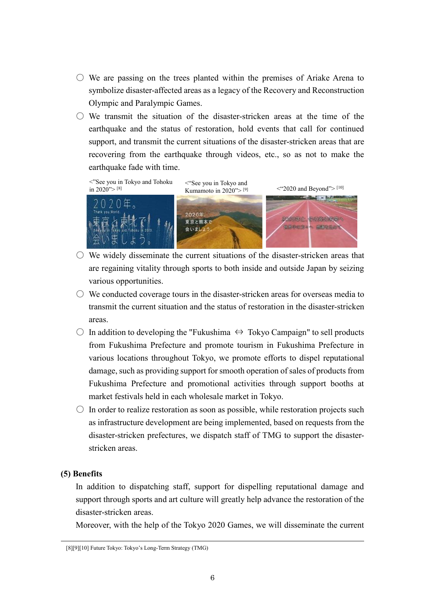- $\circlearrowright$  We are passing on the trees planted within the premises of Ariake Arena to symbolize disaster-affected areas as a legacy of the Recovery and Reconstruction Olympic and Paralympic Games.
- $\bigcirc$  We transmit the situation of the disaster-stricken areas at the time of the earthquake and the status of restoration, hold events that call for continued support, and transmit the current situations of the disaster-stricken areas that are recovering from the earthquake through videos, etc., so as not to make the earthquake fade with time.



- $\circlearrowright$  We widely disseminate the current situations of the disaster-stricken areas that are regaining vitality through sports to both inside and outside Japan by seizing various opportunities.
- $\circlearrowright$  We conducted coverage tours in the disaster-stricken areas for overseas media to transmit the current situation and the status of restoration in the disaster-stricken areas.
- $\bigcirc$  In addition to developing the "Fukushima ⇔ Tokyo Campaign" to sell products from Fukushima Prefecture and promote tourism in Fukushima Prefecture in various locations throughout Tokyo, we promote efforts to dispel reputational damage, such as providing support for smooth operation of sales of products from Fukushima Prefecture and promotional activities through support booths at market festivals held in each wholesale market in Tokyo.
- $\circ$  In order to realize restoration as soon as possible, while restoration projects such as infrastructure development are being implemented, based on requests from the disaster-stricken prefectures, we dispatch staff of TMG to support the disasterstricken areas.

#### **(5) Benefits**

In addition to dispatching staff, support for dispelling reputational damage and support through sports and art culture will greatly help advance the restoration of the disaster-stricken areas.

Moreover, with the help of the Tokyo 2020 Games, we will disseminate the current

<sup>[8][9][10]</sup> Future Tokyo: Tokyo's Long-Term Strategy (TMG)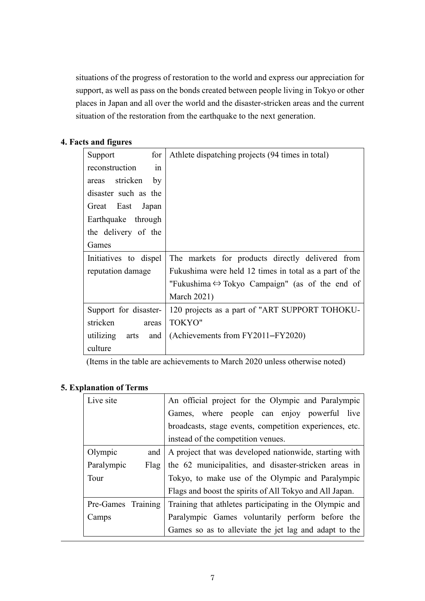situations of the progress of restoration to the world and express our appreciation for support, as well as pass on the bonds created between people living in Tokyo or other places in Japan and all over the world and the disaster-stricken areas and the current situation of the restoration from the earthquake to the next generation.

# **4. Facts and figures**

| for<br>Support        | Athlete dispatching projects (94 times in total)               |
|-----------------------|----------------------------------------------------------------|
| reconstruction<br>in  |                                                                |
| areas stricken<br>by  |                                                                |
| disaster such as the  |                                                                |
| Great East Japan      |                                                                |
| Earthquake through    |                                                                |
| the delivery of the   |                                                                |
| Games                 |                                                                |
| Initiatives to dispel | The markets for products directly delivered from               |
| reputation damage     | Fukushima were held 12 times in total as a part of the         |
|                       |                                                                |
|                       | "Fukushima $\Leftrightarrow$ Tokyo Campaign" (as of the end of |
|                       | <b>March 2021)</b>                                             |
| Support for disaster- | 120 projects as a part of "ART SUPPORT TOHOKU-                 |
| stricken<br>areas     | <b>TOKYO"</b>                                                  |
| utilizing arts<br>and | (Achievements from FY2011–FY2020)                              |

(Items in the table are achievements to March 2020 unless otherwise noted)

# **5. Explanation of Terms**

| Live site          | An official project for the Olympic and Paralympic      |
|--------------------|---------------------------------------------------------|
|                    | Games, where people can enjoy powerful live             |
|                    | broadcasts, stage events, competition experiences, etc. |
|                    | instead of the competition venues.                      |
| Olympic<br>and     | A project that was developed nationwide, starting with  |
| Paralympic<br>Flag | the 62 municipalities, and disaster-stricken areas in   |
| Tour               | Tokyo, to make use of the Olympic and Paralympic        |
|                    | Flags and boost the spirits of All Tokyo and All Japan. |
| Pre-Games Training | Training that athletes participating in the Olympic and |
| Camps              | Paralympic Games voluntarily perform before the         |
|                    | Games so as to alleviate the jet lag and adapt to the   |